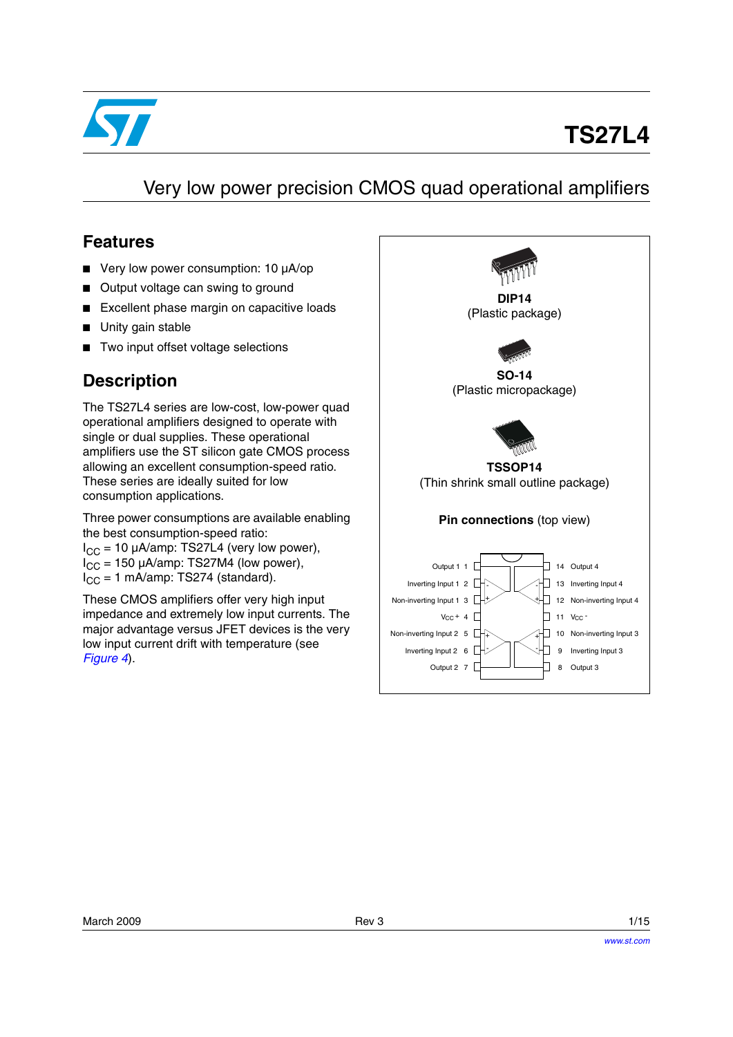

# **TS27L4**

## Very low power precision CMOS quad operational amplifiers

### **Features**

- Very low power consumption: 10 µA/op
- Output voltage can swing to ground
- Excellent phase margin on capacitive loads
- Unity gain stable
- Two input offset voltage selections

### **Description**

The TS27L4 series are low-cost, low-power quad operational amplifiers designed to operate with single or dual supplies. These operational amplifiers use the ST silicon gate CMOS process allowing an excellent consumption-speed ratio. These series are ideally suited for low consumption applications.

Three power consumptions are available enabling the best consumption-speed ratio:

 $I_{CC}$  = 10 µA/amp: TS27L4 (very low power),  $I_{CC}$  = 150 µA/amp: TS27M4 (low power),  $I_{CC}$  = 1 mA/amp: TS274 (standard).

These CMOS amplifiers offer very high input impedance and extremely low input currents. The major advantage versus JFET devices is the very low input current drift with temperature (see *[Figure 4](#page-6-0)*).

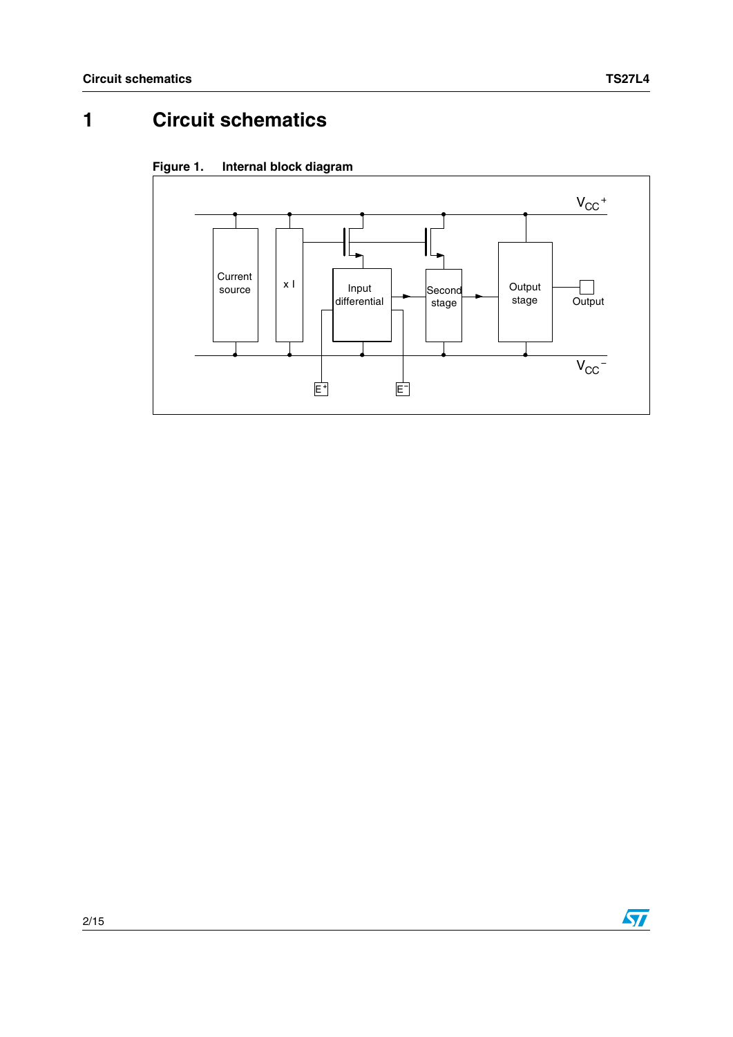# **1 Circuit schematics**





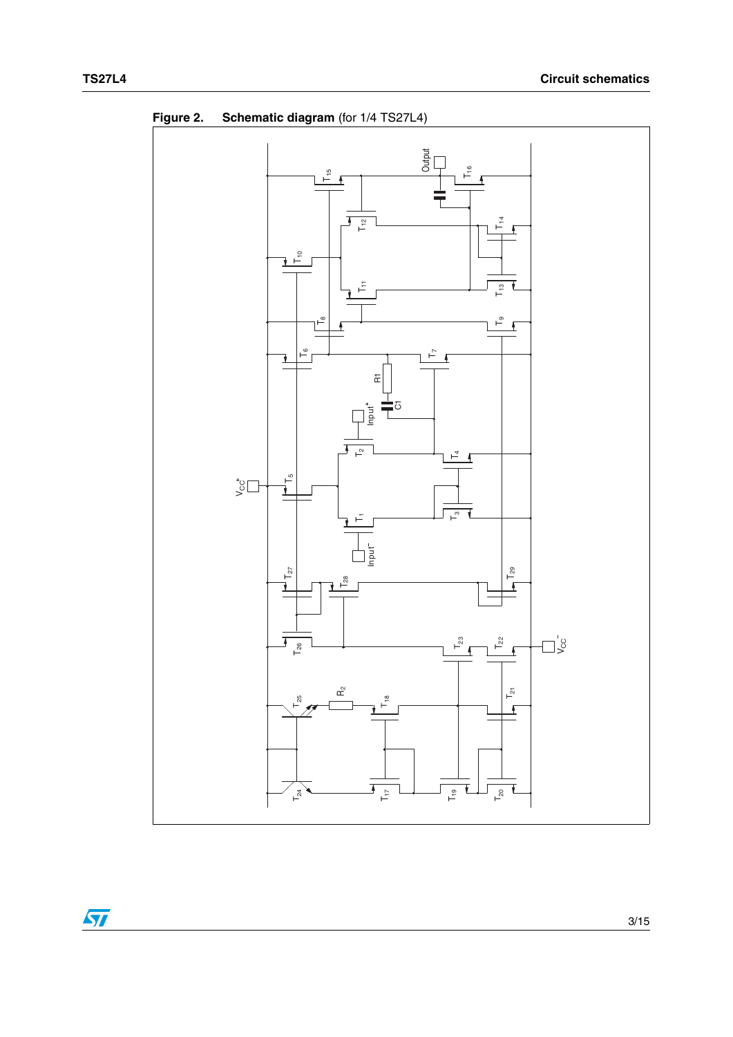

**Figure 2. Schematic diagram** (for 1/4 TS27L4)

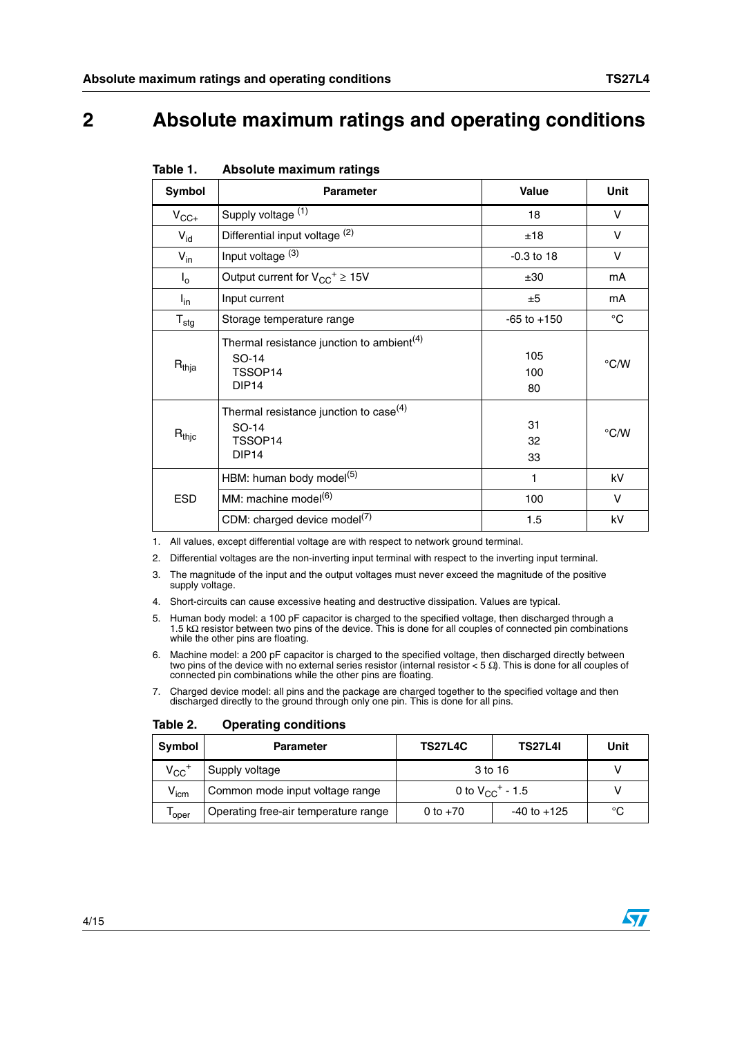### **2 Absolute maximum ratings and operating conditions**

| Symbol                    | <b>Parameter</b>                                                                                           | <b>Value</b>     | Unit        |
|---------------------------|------------------------------------------------------------------------------------------------------------|------------------|-------------|
| $V_{CC+}$                 | Supply voltage (1)                                                                                         | 18               | v           |
| $V_{\text{id}}$           | Differential input voltage (2)                                                                             | ±18              | v           |
| $V_{in}$                  | Input voltage (3)                                                                                          | $-0.3$ to 18     | V           |
| $I_{o}$                   | Output current for $V_{CC}^+ \geq 15V$                                                                     | ±30              | mA          |
| $I_{in}$                  | Input current                                                                                              | ±5               | mA          |
| $\mathsf{T}_{\text{stg}}$ | Storage temperature range                                                                                  | $-65$ to $+150$  | $^{\circ}C$ |
| $R_{thja}$                | Thermal resistance junction to ambient <sup>(4)</sup><br>SO-14<br>TSSOP <sub>14</sub><br>DIP <sub>14</sub> | 105<br>100<br>80 | °C/W        |
| $R_{\mathsf{thjc}}$       | Thermal resistance junction to case <sup>(4)</sup><br>SO-14<br>TSSOP <sub>14</sub><br>DIP <sub>14</sub>    | 31<br>32<br>33   | °C/W        |
|                           | HBM: human body model <sup>(5)</sup>                                                                       | 1                | kV          |
| <b>ESD</b>                | MM: machine model <sup>(6)</sup>                                                                           | 100              | $\vee$      |
|                           | CDM: charged device model <sup>(7)</sup>                                                                   | 1.5              | kV          |

#### <span id="page-3-0"></span>Table 1. **Table 1. Absolute maximum ratings**

1. All values, except differential voltage are with respect to network ground terminal.

2. Differential voltages are the non-inverting input terminal with respect to the inverting input terminal.

- 3. The magnitude of the input and the output voltages must never exceed the magnitude of the positive supply voltage.
- 4. Short-circuits can cause excessive heating and destructive dissipation. Values are typical.
- 5. Human body model: a 100 pF capacitor is charged to the specified voltage, then discharged through a 1.5 kΩ resistor between two pins of the device. This is done for all couples of connected pin combinations while the other pins are floating.
- 6. Machine model: a 200 pF capacitor is charged to the specified voltage, then discharged directly between two pins of the device with no external series resistor (internal resistor < 5 Ω). This is done for all couples of connected pin combinations while the other pins are floating.
- 7. Charged device model: all pins and the package are charged together to the specified voltage and then discharged directly to the ground through only one pin. This is done for all pins.

| Symbol                | <b>TS27L4C</b><br><b>TS27L4I</b><br><b>Parameter</b> |                                  | Unit            |    |
|-----------------------|------------------------------------------------------|----------------------------------|-----------------|----|
| $V_{CC}$ <sup>+</sup> | Supply voltage                                       | 3 to 16                          |                 |    |
| $V_{\text{icm}}$      | Common mode input voltage range                      | 0 to $V_{CC}$ <sup>+</sup> - 1.5 |                 |    |
| l oper                | Operating free-air temperature range                 | 0 to $+70$                       | $-40$ to $+125$ | °C |

Table 2. **Operating conditions** 



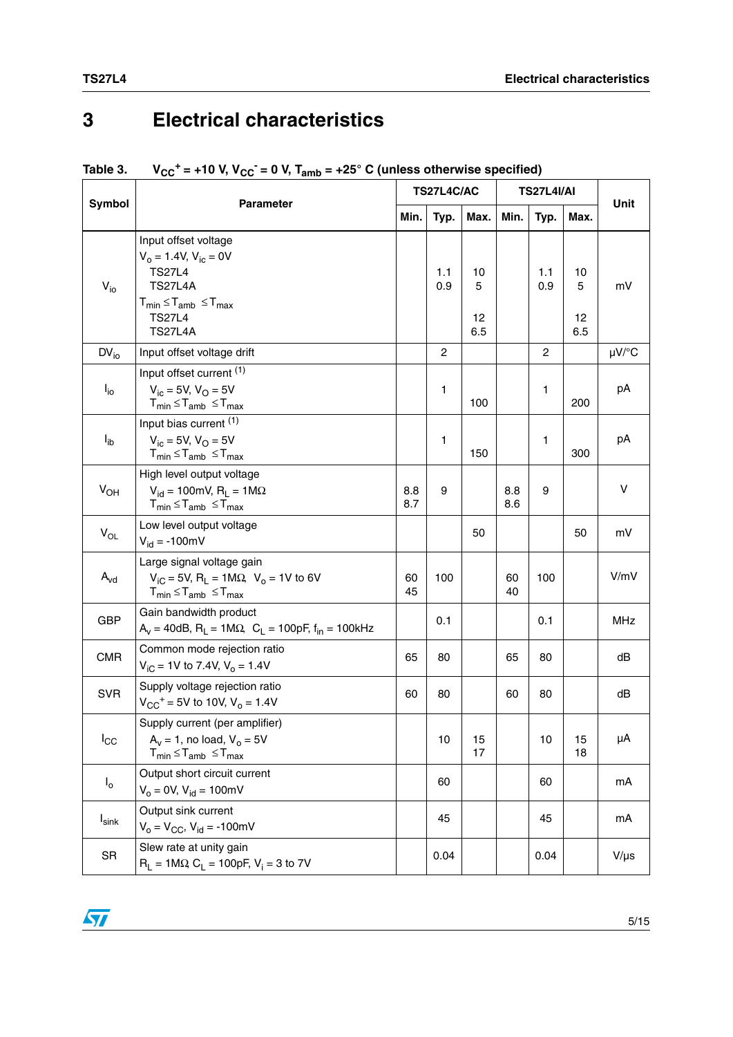# **3 Electrical characteristics**

|                     |                                                                                                                                                                  |            | TS27L4C/AC     |                      |            | <b>TS27L4I/AI</b> |                      |            |
|---------------------|------------------------------------------------------------------------------------------------------------------------------------------------------------------|------------|----------------|----------------------|------------|-------------------|----------------------|------------|
| Symbol              | <b>Parameter</b>                                                                                                                                                 | Min.       | Typ.           | Max.                 | Min.       | Typ.              | Max.                 | Unit       |
| $V_{i0}$            | Input offset voltage<br>$V_o = 1.4 V, V_{ic} = 0 V$<br><b>TS27L4</b><br><b>TS27L4A</b><br>$T_{min} \leq T_{amb} \leq T_{max}$<br><b>TS27L4</b><br><b>TS27L4A</b> |            | 1.1<br>0.9     | 10<br>5<br>12<br>6.5 |            | 1.1<br>0.9        | 10<br>5<br>12<br>6.5 | mV         |
| $DV_{io}$           | Input offset voltage drift                                                                                                                                       |            | $\overline{c}$ |                      |            | $\overline{c}$    |                      | µV/°C      |
| $I_{io}$            | Input offset current (1)<br>$V_{\text{ic}} = 5V$ , $V_{\text{O}} = 5V$<br>$T_{min} \leq T_{amb} \leq T_{max}$                                                    |            | 1              | 100                  |            | 1                 | 200                  | pA         |
| $I_{ib}$            | Input bias current (1)<br>$V_{ic} = 5V$ , $V_{O} = 5V$<br>$T_{min} \leq T_{amb} \leq T_{max}$                                                                    |            | 1              | 150                  |            | 1                 | 300                  | pA         |
| $V_{OH}$            | High level output voltage<br>$V_{\text{id}} = 100 \text{mV}, R_{\text{I}} = 1 \text{M}\Omega$<br>$T_{min} \leq T_{amb} \leq T_{max}$                             | 8.8<br>8.7 | 9              |                      | 8.8<br>8.6 | 9                 |                      | v          |
| $V_{OL}$            | Low level output voltage<br>$V_{\text{id}} = -100 \text{mV}$                                                                                                     |            |                | 50                   |            |                   | 50                   | mV         |
| $A_{vd}$            | Large signal voltage gain<br>$V_{iC}$ = 5V, R <sub>L</sub> = 1M $\Omega$ , V <sub>o</sub> = 1V to 6V<br>$T_{min} \leq T_{amb} \leq T_{max}$                      | 60<br>45   | 100            |                      | 60<br>40   | 100               |                      | V/mV       |
| <b>GBP</b>          | Gain bandwidth product<br>$A_v = 40dB$ , $R_l = 1M\Omega$ , $C_l = 100pF$ , $f_{in} = 100kHz$                                                                    |            | 0.1            |                      |            | 0.1               |                      | <b>MHz</b> |
| <b>CMR</b>          | Common mode rejection ratio<br>$V_{iC}$ = 1V to 7.4V, $V_o$ = 1.4V                                                                                               | 65         | 80             |                      | 65         | 80                |                      | dB         |
| <b>SVR</b>          | Supply voltage rejection ratio<br>$V_{CC}$ <sup>+</sup> = 5V to 10V, V <sub>o</sub> = 1.4V                                                                       | 60         | 80             |                      | 60         | 80                |                      | dB         |
| $I_{\rm CC}$        | Supply current (per amplifier)<br>$A_v = 1$ , no load, $V_o = 5V$<br>$T_{min} \leq T_{amb} \leq T_{max}$                                                         |            | 10             | 15<br>17             |            | 10                | 15<br>18             | μA         |
| $I_{o}$             | Output short circuit current<br>$V_0 = 0V$ , $V_{id} = 100mV$                                                                                                    |            | 60             |                      |            | 60                |                      | mA         |
| $I_{\textsf{sink}}$ | Output sink current<br>$V_0 = V_{CC}$ , $V_{id} = -100$ mV                                                                                                       |            | 45             |                      |            | 45                |                      | mA         |
| SR                  | Slew rate at unity gain<br>$R_L = 1 M \Omega$ , $C_L = 100pF$ , $V_i = 3$ to 7V                                                                                  |            | 0.04           |                      |            | 0.04              |                      | $V/\mu s$  |

#### Table 3.  $V_{CC}^+$  = +10 V, V<sub>CC</sub><sup>-</sup> = 0 V, T<sub>amb</sub> = +25° C (unless otherwise specified)

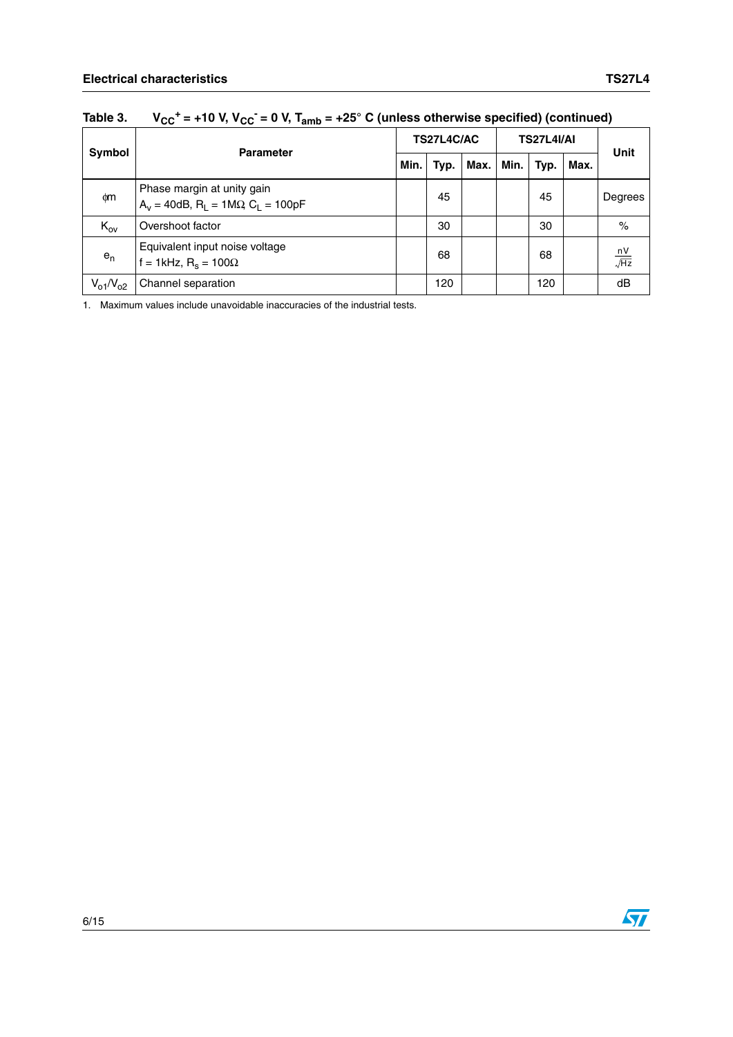|                 | <b>Parameter</b>                                                              | TS27L4C/AC |      |      | <b>TS27L4I/AI</b> |      |      |                        |
|-----------------|-------------------------------------------------------------------------------|------------|------|------|-------------------|------|------|------------------------|
| Symbol          |                                                                               | Min.       | Typ. | Max. | Min.              | Typ. | Max. | <b>Unit</b>            |
| фm              | Phase margin at unity gain<br>$A_v = 40dB$ , $R_1 = 1M\Omega$ , $C_1 = 100pF$ |            | 45   |      |                   | 45   |      | Degrees                |
| $K_{ov}$        | Overshoot factor                                                              |            | 30   |      |                   | 30   |      | $\%$                   |
| $e_n$           | Equivalent input noise voltage<br>f = 1kHz, $R_s$ = 100 $\Omega$              |            | 68   |      |                   | 68   |      | $\frac{nV}{\sqrt{Hz}}$ |
| $V_{o1}/V_{o2}$ | Channel separation                                                            |            | 120  |      |                   | 120  |      | dB                     |

Table 3.  $V_{CC}^+$  = +10 V,  $V_{CC}^-$  = 0 V,  $T_{amb}$  = +25° C (unless otherwise specified) (continued)

1. Maximum values include unavoidable inaccuracies of the industrial tests.

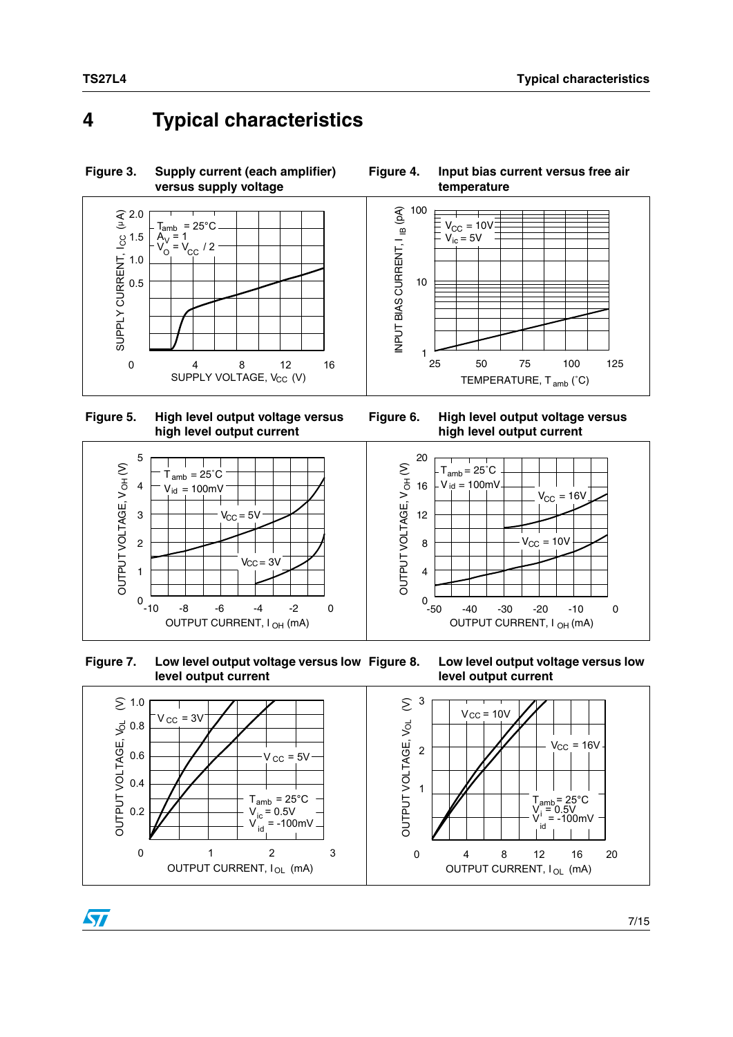## **4 Typical characteristics**



**Figure 5. High level output voltage versus high level output current** 

 $\mathsf{T}_{\mathsf{amb}}$  = 25 $^\circ \mathsf{C}$  $V_{\text{id}} = 100$ mV

T

5

4

3

2

OUTPUT VOH VOH VOH

OUTPUT VOLTAGE, V<sub>OH</sub>(V)

ST

1

 $0\ 10$ 

<span id="page-6-0"></span>



 **Figure 7. Low level output voltage versus low level output current**

 $V_{\rm CC} = 5V$ 

 $V_{CC} = 3V$ 





7/15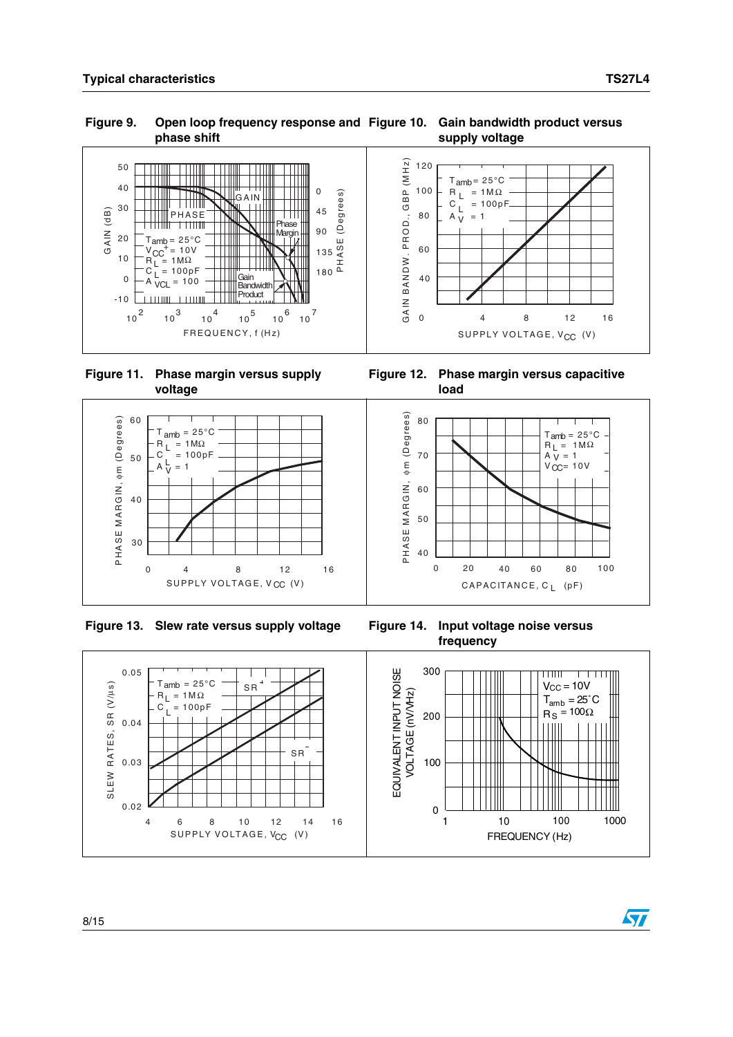$\sqrt{2}$ 

#### Figure 9. Open loop frequency response and Figure 10. Gain bandwidth product versus **phase shift supply voltage**



 **Figure 11. Phase margin versus supply voltage**

 $A \frac{L}{V} = 1$ 

60

50

40

30

PHASE MARGIN, φm (Degrees)

PHASE MARGIN, ¢m (Degrees)







**frequency**

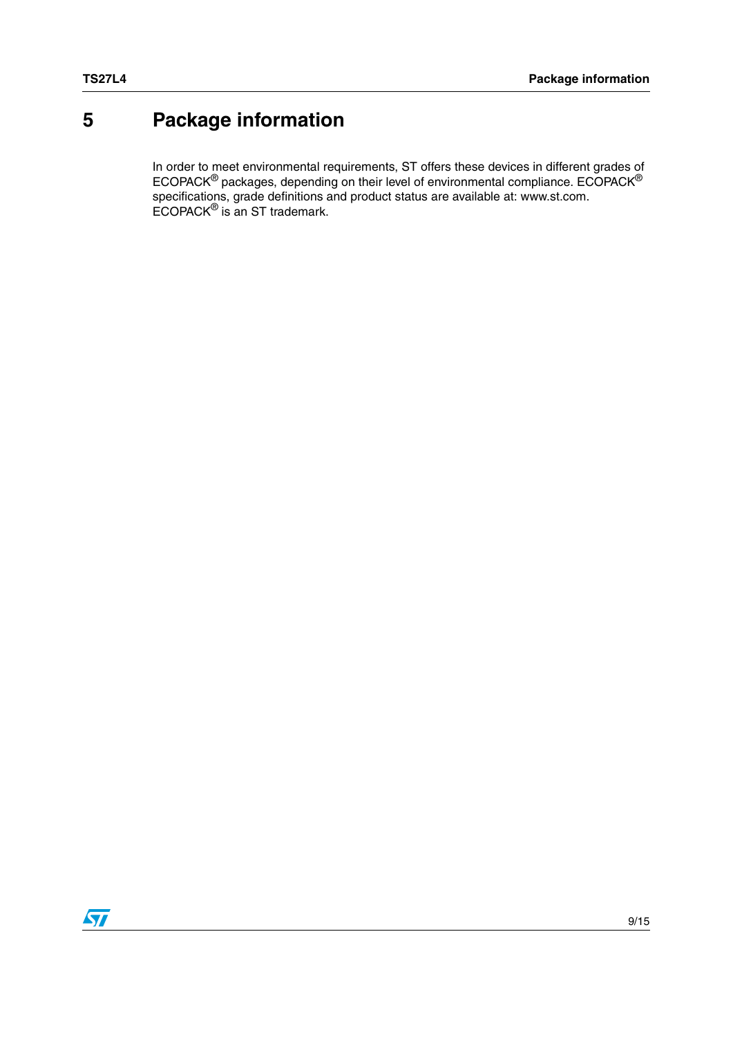# <span id="page-8-0"></span>**5 Package information**

In order to meet environmental requirements, ST offers these devices in different grades of ECOPACK $^{\circledR}$  packages, depending on their level of environmental compliance. ECOPACK $^{\circledR}$ specifications, grade definitions and product status are available at: www.st.com. ECOPACK® is an ST trademark.

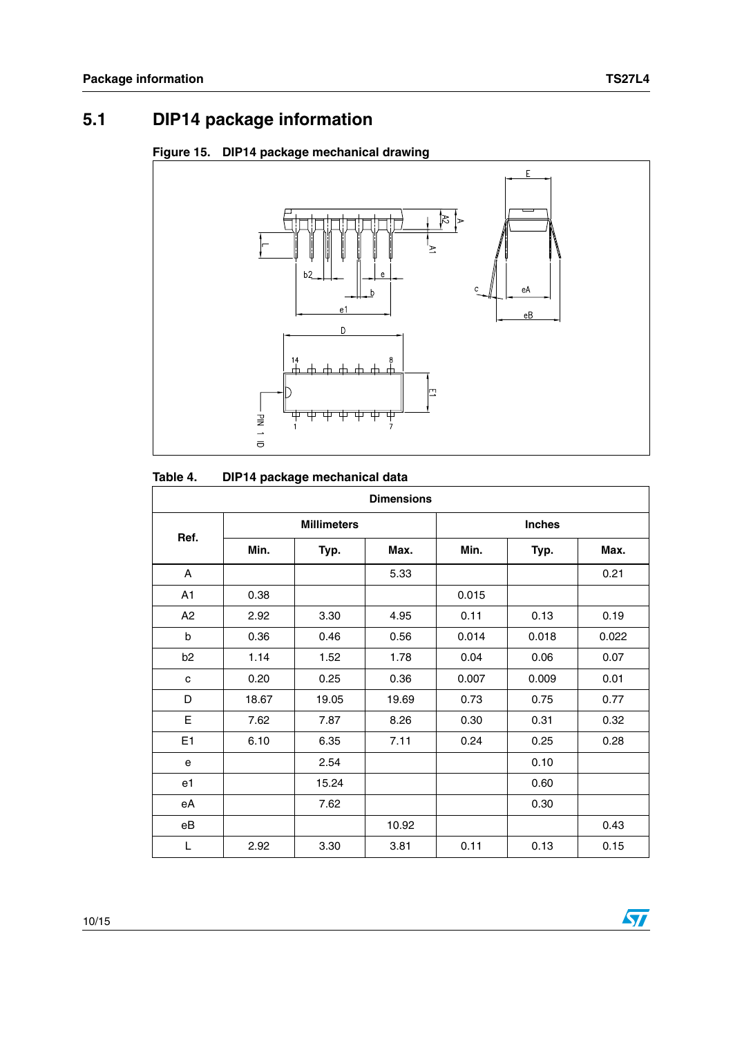$\sqrt{2}$ 

## **5.1 DIP14 package information**





#### Table 4. **DIP14 package mechanical data**

|                | <b>Dimensions</b> |                    |       |       |               |       |  |
|----------------|-------------------|--------------------|-------|-------|---------------|-------|--|
|                |                   | <b>Millimeters</b> |       |       | <b>Inches</b> |       |  |
| Ref.           | Min.              | Typ.               | Max.  | Min.  | Typ.          | Max.  |  |
| A              |                   |                    | 5.33  |       |               | 0.21  |  |
| A1             | 0.38              |                    |       | 0.015 |               |       |  |
| A2             | 2.92              | 3.30               | 4.95  | 0.11  | 0.13          | 0.19  |  |
| b              | 0.36              | 0.46               | 0.56  | 0.014 | 0.018         | 0.022 |  |
| b <sub>2</sub> | 1.14              | 1.52               | 1.78  | 0.04  | 0.06          | 0.07  |  |
| c              | 0.20              | 0.25               | 0.36  | 0.007 | 0.009         | 0.01  |  |
| D              | 18.67             | 19.05              | 19.69 | 0.73  | 0.75          | 0.77  |  |
| E              | 7.62              | 7.87               | 8.26  | 0.30  | 0.31          | 0.32  |  |
| E <sub>1</sub> | 6.10              | 6.35               | 7.11  | 0.24  | 0.25          | 0.28  |  |
| e              |                   | 2.54               |       |       | 0.10          |       |  |
| e1             |                   | 15.24              |       |       | 0.60          |       |  |
| еA             |                   | 7.62               |       |       | 0.30          |       |  |
| eB             |                   |                    | 10.92 |       |               | 0.43  |  |
| L              | 2.92              | 3.30               | 3.81  | 0.11  | 0.13          | 0.15  |  |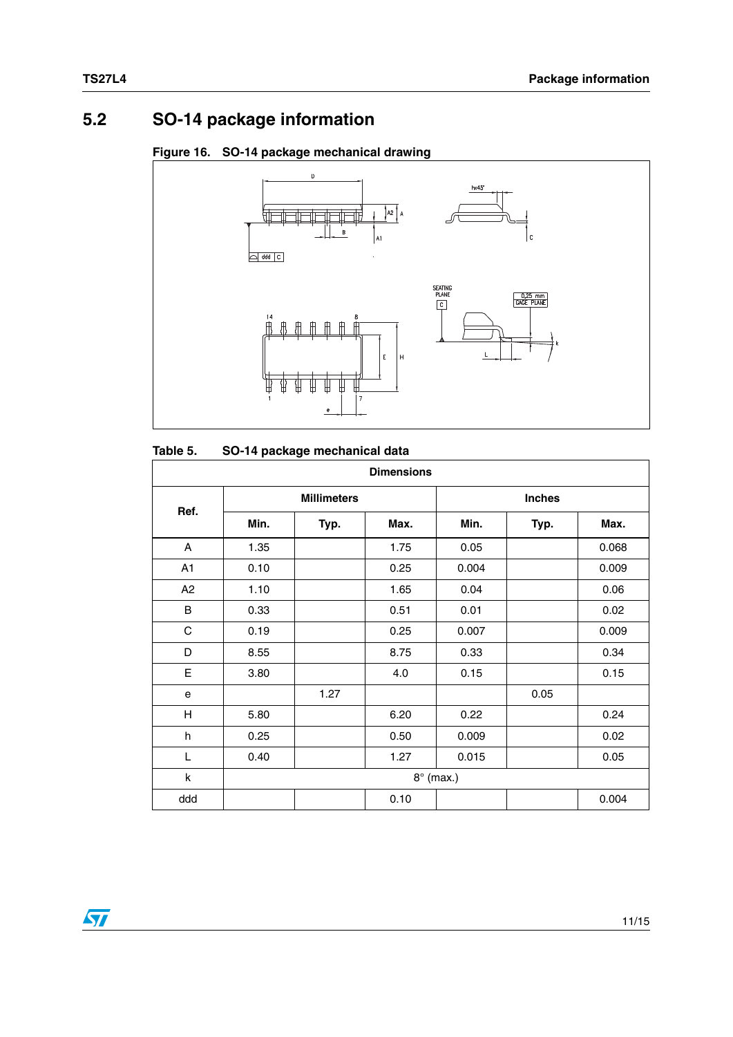## **5.2 SO-14 package information**

#### **Figure 16. SO-14 package mechanical drawing**



#### **Table 5. SO-14 package mechanical data**

|             | <b>Dimensions</b> |                    |      |                  |               |       |  |
|-------------|-------------------|--------------------|------|------------------|---------------|-------|--|
|             |                   | <b>Millimeters</b> |      |                  | <b>Inches</b> |       |  |
| Ref.        | Min.              | Typ.               | Max. | Min.             | Typ.          | Max.  |  |
| A           | 1.35              |                    | 1.75 | 0.05             |               | 0.068 |  |
| A1          | 0.10              |                    | 0.25 | 0.004            |               | 0.009 |  |
| A2          | 1.10              |                    | 1.65 | 0.04             |               | 0.06  |  |
| B           | 0.33              |                    | 0.51 | 0.01             |               | 0.02  |  |
| $\mathbf C$ | 0.19              |                    | 0.25 | 0.007            |               | 0.009 |  |
| D           | 8.55              |                    | 8.75 | 0.33             |               | 0.34  |  |
| E           | 3.80              |                    | 4.0  | 0.15             |               | 0.15  |  |
| е           |                   | 1.27               |      |                  | 0.05          |       |  |
| H           | 5.80              |                    | 6.20 | 0.22             |               | 0.24  |  |
| h           | 0.25              |                    | 0.50 | 0.009            |               | 0.02  |  |
| L           | 0.40              |                    | 1.27 | 0.015            |               | 0.05  |  |
| k           |                   |                    |      | $8^\circ$ (max.) |               |       |  |
| ddd         |                   |                    | 0.10 |                  |               | 0.004 |  |

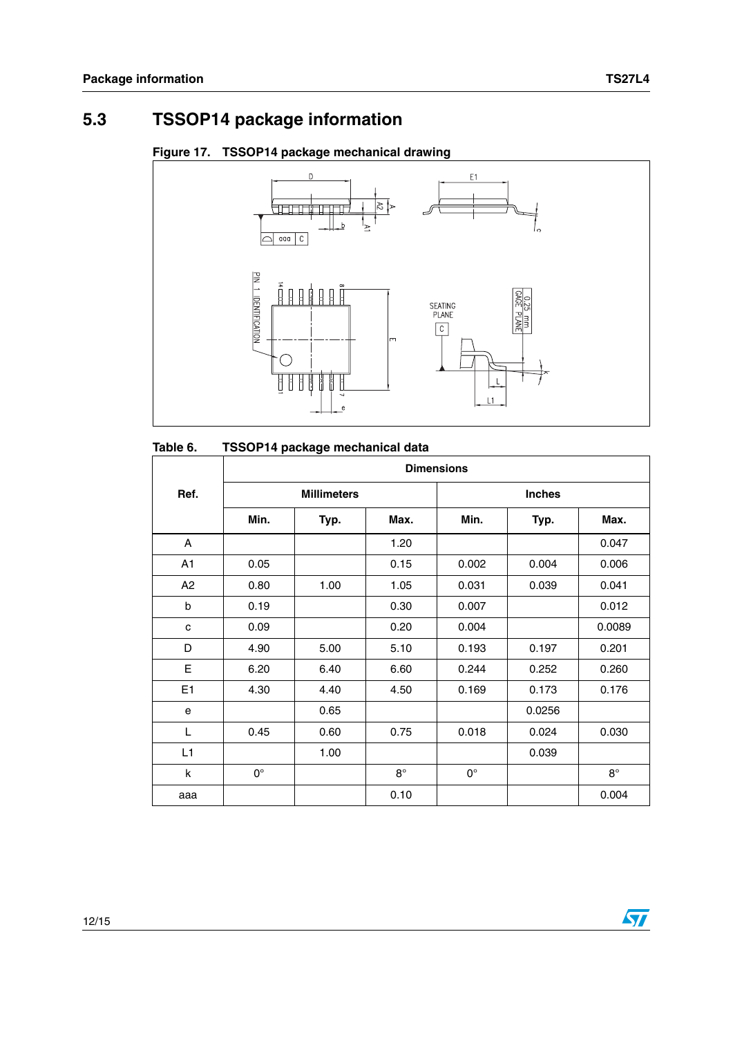## **5.3 TSSOP14 package information**





| Table 6. |  | TSSOP14 package mechanical data |  |
|----------|--|---------------------------------|--|
|          |  |                                 |  |

|      |             |                    |           | <b>Dimensions</b> |               |           |
|------|-------------|--------------------|-----------|-------------------|---------------|-----------|
| Ref. |             | <b>Millimeters</b> |           |                   | <b>Inches</b> |           |
|      | Min.        | Typ.               | Max.      | Min.              | Typ.          | Max.      |
| A    |             |                    | 1.20      |                   |               | 0.047     |
| A1   | 0.05        |                    | 0.15      | 0.002             | 0.004         | 0.006     |
| A2   | 0.80        | 1.00               | 1.05      | 0.031             | 0.039         | 0.041     |
| b    | 0.19        |                    | 0.30      | 0.007             |               | 0.012     |
| C    | 0.09        |                    | 0.20      | 0.004             |               | 0.0089    |
| D    | 4.90        | 5.00               | 5.10      | 0.193             | 0.197         | 0.201     |
| E    | 6.20        | 6.40               | 6.60      | 0.244             | 0.252         | 0.260     |
| E1   | 4.30        | 4.40               | 4.50      | 0.169             | 0.173         | 0.176     |
| e    |             | 0.65               |           |                   | 0.0256        |           |
| L    | 0.45        | 0.60               | 0.75      | 0.018             | 0.024         | 0.030     |
| L1   |             | 1.00               |           |                   | 0.039         |           |
| k    | $0^{\circ}$ |                    | $8^\circ$ | $0^{\circ}$       |               | $8^\circ$ |
| aaa  |             |                    | 0.10      |                   |               | 0.004     |

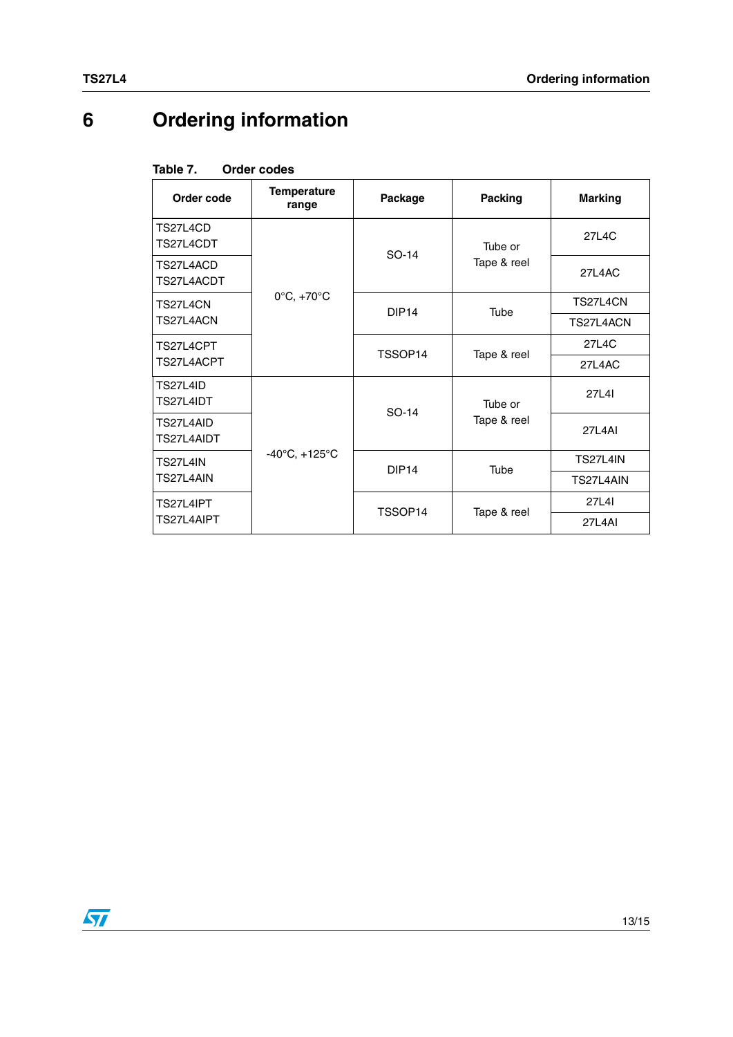# **6 Ordering information**

<span id="page-12-0"></span>

| Table 7. |  | Order codes |
|----------|--|-------------|
|          |  |             |

| Table 7.<br>Order codes     |                                                                      |                                                                     |                                            |  |  |  |  |
|-----------------------------|----------------------------------------------------------------------|---------------------------------------------------------------------|--------------------------------------------|--|--|--|--|
| <b>Temperature</b><br>range | Package                                                              | Packing                                                             | <b>Marking</b>                             |  |  |  |  |
|                             |                                                                      | Tube or                                                             | 27L4C                                      |  |  |  |  |
|                             |                                                                      | Tape & reel                                                         | <b>27L4AC</b>                              |  |  |  |  |
|                             |                                                                      |                                                                     | TS27L4CN                                   |  |  |  |  |
|                             |                                                                      |                                                                     | TS27L4ACN                                  |  |  |  |  |
|                             | TSSOP14                                                              |                                                                     | 27L4C                                      |  |  |  |  |
|                             |                                                                      |                                                                     | 27L4AC                                     |  |  |  |  |
|                             |                                                                      | Tube or                                                             | 27L4I                                      |  |  |  |  |
|                             |                                                                      | Tape & reel                                                         | <b>27L4AI</b>                              |  |  |  |  |
|                             |                                                                      |                                                                     | <b>TS27L4IN</b>                            |  |  |  |  |
|                             |                                                                      |                                                                     | TS27L4AIN                                  |  |  |  |  |
|                             |                                                                      |                                                                     | 27L4I                                      |  |  |  |  |
|                             |                                                                      |                                                                     | <b>27L4AI</b>                              |  |  |  |  |
|                             | $0^{\circ}$ C, +70 $^{\circ}$ C<br>$-40^{\circ}$ C, $+125^{\circ}$ C | SO-14<br>DIP <sub>14</sub><br>SO-14<br>DIP <sub>14</sub><br>TSSOP14 | Tube<br>Tape & reel<br>Tube<br>Tape & reel |  |  |  |  |

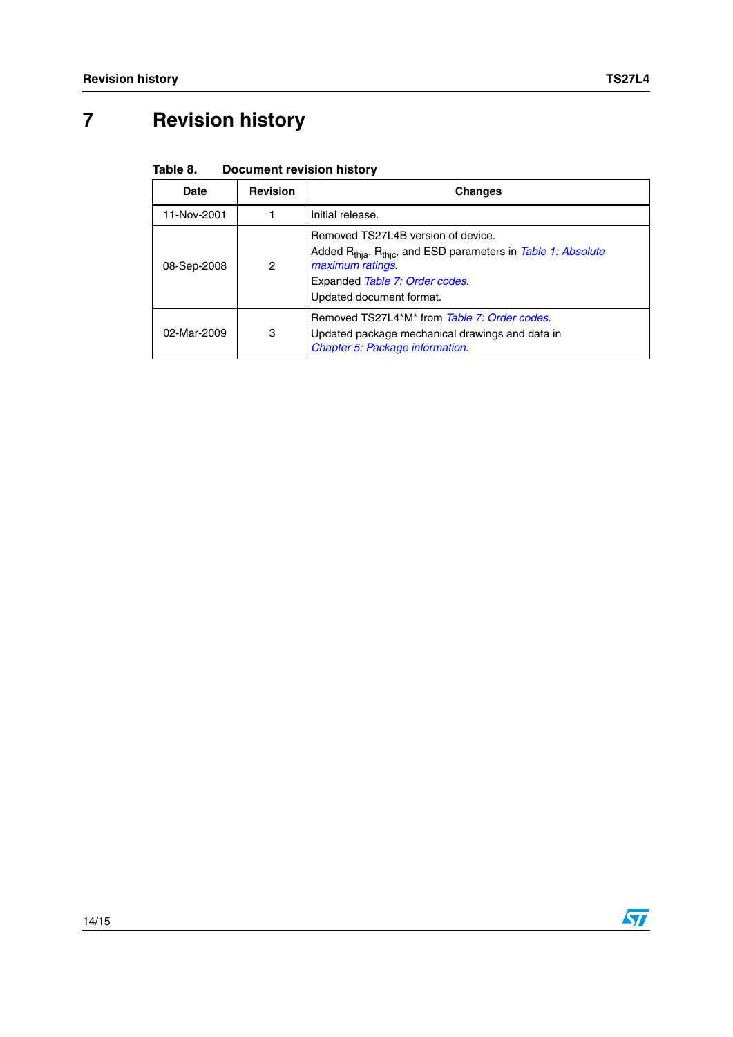# **7 Revision history**

| Table 8. | <b>Document revision history</b> |  |  |
|----------|----------------------------------|--|--|
|----------|----------------------------------|--|--|

| <b>Date</b> | <b>Revision</b> | <b>Changes</b>                                                                                                                                                                                                |
|-------------|-----------------|---------------------------------------------------------------------------------------------------------------------------------------------------------------------------------------------------------------|
| 11-Nov-2001 |                 | Initial release.                                                                                                                                                                                              |
| 08-Sep-2008 | 2               | Removed TS27L4B version of device.<br>Added R <sub>thia</sub> , R <sub>thic</sub> , and ESD parameters in Table 1: Absolute<br>maximum ratings.<br>Expanded Table 7: Order codes.<br>Updated document format. |
| 02-Mar-2009 | 3               | Removed TS27L4*M* from Table 7: Order codes.<br>Updated package mechanical drawings and data in<br>Chapter 5: Package information.                                                                            |